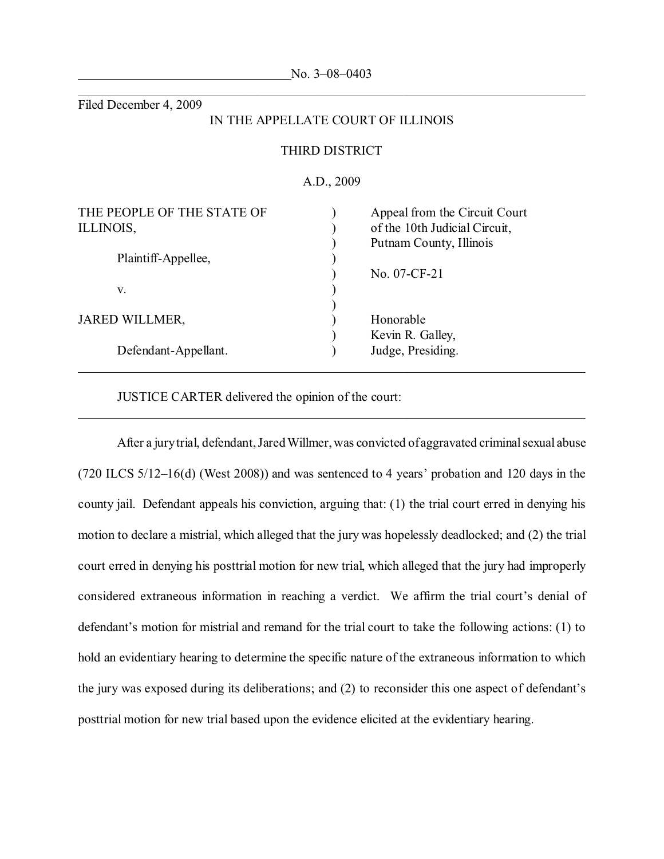| Filed December 4, 2009                  |                       |                                                                                           |
|-----------------------------------------|-----------------------|-------------------------------------------------------------------------------------------|
|                                         |                       | IN THE APPELLATE COURT OF ILLINOIS                                                        |
|                                         | <b>THIRD DISTRICT</b> |                                                                                           |
|                                         | A.D., 2009            |                                                                                           |
| THE PEOPLE OF THE STATE OF<br>ILLINOIS, |                       | Appeal from the Circuit Court<br>of the 10th Judicial Circuit,<br>Putnam County, Illinois |
| Plaintiff-Appellee,                     |                       |                                                                                           |
|                                         |                       | No. 07-CF-21                                                                              |
| V.                                      |                       |                                                                                           |
| <b>JARED WILLMER,</b>                   |                       | Honorable                                                                                 |
|                                         |                       | Kevin R. Galley,                                                                          |
| Defendant-Appellant.                    |                       | Judge, Presiding.                                                                         |

No. 3–08–0403

JUSTICE CARTER delivered the opinion of the court:

After a jury trial, defendant, Jared Willmer, was convicted of aggravated criminal sexual abuse (720 ILCS 5/12–16(d) (West 2008)) and was sentenced to 4 years' probation and 120 days in the county jail. Defendant appeals his conviction, arguing that: (1) the trial court erred in denying his motion to declare a mistrial, which alleged that the jury was hopelessly deadlocked; and (2) the trial court erred in denying his posttrial motion for new trial, which alleged that the jury had improperly considered extraneous information in reaching a verdict. We affirm the trial court's denial of defendant's motion for mistrial and remand for the trial court to take the following actions: (1) to hold an evidentiary hearing to determine the specific nature of the extraneous information to which the jury was exposed during its deliberations; and (2) to reconsider this one aspect of defendant's posttrial motion for new trial based upon the evidence elicited at the evidentiary hearing.

\_\_\_\_\_\_\_\_\_\_\_\_\_\_\_\_\_\_\_\_\_\_\_\_\_\_\_\_\_\_\_\_\_\_\_\_\_\_\_\_\_\_\_\_\_\_\_\_\_\_\_\_\_\_\_\_\_\_\_\_\_\_\_\_\_\_\_\_\_\_\_\_\_\_\_\_\_\_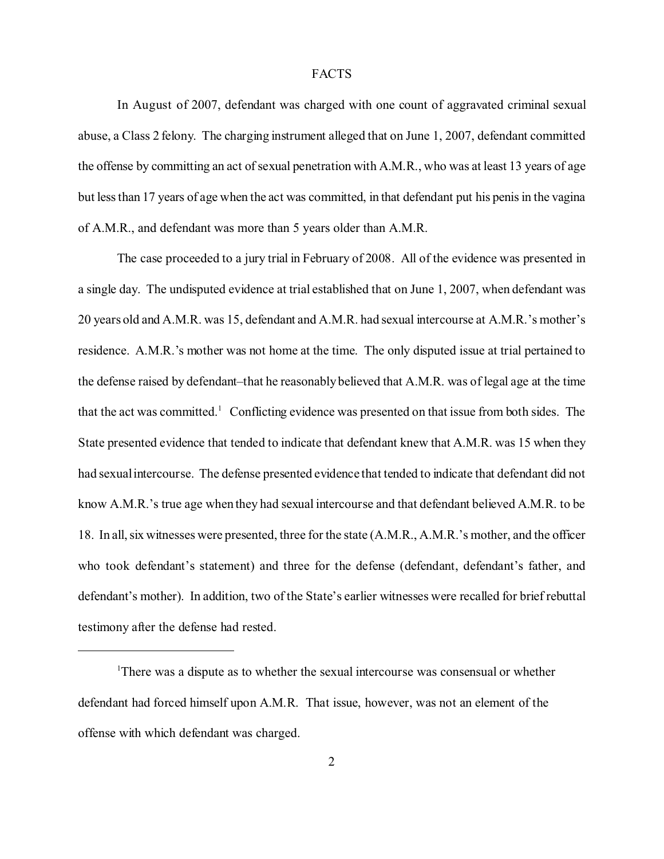## **FACTS**

In August of 2007, defendant was charged with one count of aggravated criminal sexual abuse, a Class 2 felony. The charging instrument alleged that on June 1, 2007, defendant committed the offense by committing an act of sexual penetration with A.M.R., who was at least 13 years of age but less than 17 years of age when the act was committed, in that defendant put his penis in the vagina of A.M.R., and defendant was more than 5 years older than A.M.R.

The case proceeded to a jury trial in February of 2008. All of the evidence was presented in a single day. The undisputed evidence at trial established that on June 1, 2007, when defendant was 20 years old and A.M.R. was 15, defendant and A.M.R. had sexual intercourse at A.M.R.'s mother's residence. A.M.R.'s mother was not home at the time. The only disputed issue at trial pertained to the defense raised by defendant–that he reasonably believed that A.M.R. was of legal age at the time that the act was committed.<sup>1</sup> Conflicting evidence was presented on that issue from both sides. The State presented evidence that tended to indicate that defendant knew that A.M.R. was 15 when they had sexual intercourse. The defense presented evidence that tended to indicate that defendant did not know A.M.R.'s true age when they had sexual intercourse and that defendant believed A.M.R. to be 18. In all, six witnesses were presented, three for the state (A.M.R., A.M.R.'s mother, and the officer who took defendant's statement) and three for the defense (defendant, defendant's father, and defendant's mother). In addition, two of the State's earlier witnesses were recalled for brief rebuttal testimony after the defense had rested.

<sup>&</sup>lt;sup>1</sup>There was a dispute as to whether the sexual intercourse was consensual or whether defendant had forced himself upon A.M.R. That issue, however, was not an element of the offense with which defendant was charged.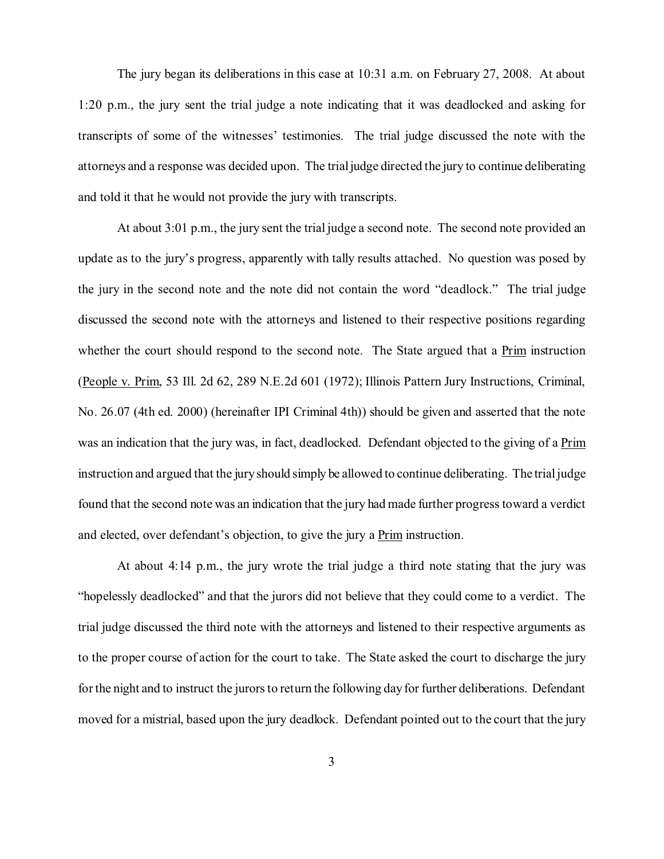The jury began its deliberations in this case at 10:31 a.m. on February 27, 2008. At about 1:20 p.m., the jury sent the trial judge a note indicating that it was deadlocked and asking for transcripts of some of the witnesses' testimonies. The trial judge discussed the note with the attorneys and a response was decided upon. The trial judge directed the jury to continue deliberating and told it that he would not provide the jury with transcripts.

At about 3:01 p.m., the jury sent the trial judge a second note. The second note provided an update as to the jury's progress, apparently with tally results attached. No question was posed by the jury in the second note and the note did not contain the word "deadlock." The trial judge discussed the second note with the attorneys and listened to their respective positions regarding whether the court should respond to the second note. The State argued that a Prim instruction (People v. Prim, 53 Ill. 2d 62, 289 N.E.2d 601 (1972); Illinois Pattern Jury Instructions, Criminal, No. 26.07 (4th ed. 2000) (hereinafter IPI Criminal 4th)) should be given and asserted that the note was an indication that the jury was, in fact, deadlocked. Defendant objected to the giving of a Prim instruction and argued that the jury should simply be allowed to continue deliberating. The trial judge found that the second note was an indication that the jury had made further progress toward a verdict and elected, over defendant's objection, to give the jury a Prim instruction.

At about 4:14 p.m., the jury wrote the trial judge a third note stating that the jury was "hopelessly deadlocked" and that the jurors did not believe that they could come to a verdict. The trial judge discussed the third note with the attorneys and listened to their respective arguments as to the proper course of action for the court to take. The State asked the court to discharge the jury for the night and to instruct the jurors to return the following day for further deliberations. Defendant moved for a mistrial, based upon the jury deadlock. Defendant pointed out to the court that the jury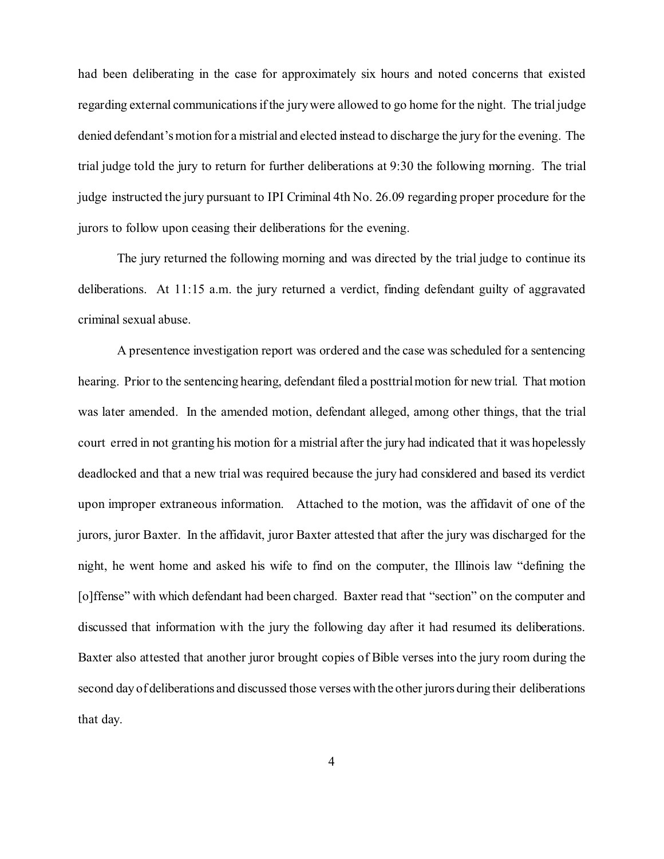had been deliberating in the case for approximately six hours and noted concerns that existed regarding external communications if the jury were allowed to go home for the night. The trial judge denied defendant's motion for a mistrial and elected instead to discharge the jury for the evening. The trial judge told the jury to return for further deliberations at 9:30 the following morning. The trial judge instructed the jury pursuant to IPI Criminal 4th No. 26.09 regarding proper procedure for the jurors to follow upon ceasing their deliberations for the evening.

The jury returned the following morning and was directed by the trial judge to continue its deliberations. At 11:15 a.m. the jury returned a verdict, finding defendant guilty of aggravated criminal sexual abuse.

A presentence investigation report was ordered and the case was scheduled for a sentencing hearing. Prior to the sentencing hearing, defendant filed a posttrial motion for new trial. That motion was later amended. In the amended motion, defendant alleged, among other things, that the trial court erred in not granting his motion for a mistrial after the jury had indicated that it was hopelessly deadlocked and that a new trial was required because the jury had considered and based its verdict upon improper extraneous information. Attached to the motion, was the affidavit of one of the jurors, juror Baxter. In the affidavit, juror Baxter attested that after the jury was discharged for the night, he went home and asked his wife to find on the computer, the Illinois law "defining the [o]ffense" with which defendant had been charged. Baxter read that "section" on the computer and discussed that information with the jury the following day after it had resumed its deliberations. Baxter also attested that another juror brought copies of Bible verses into the jury room during the second day of deliberations and discussed those verses with the other jurors during their deliberations that day.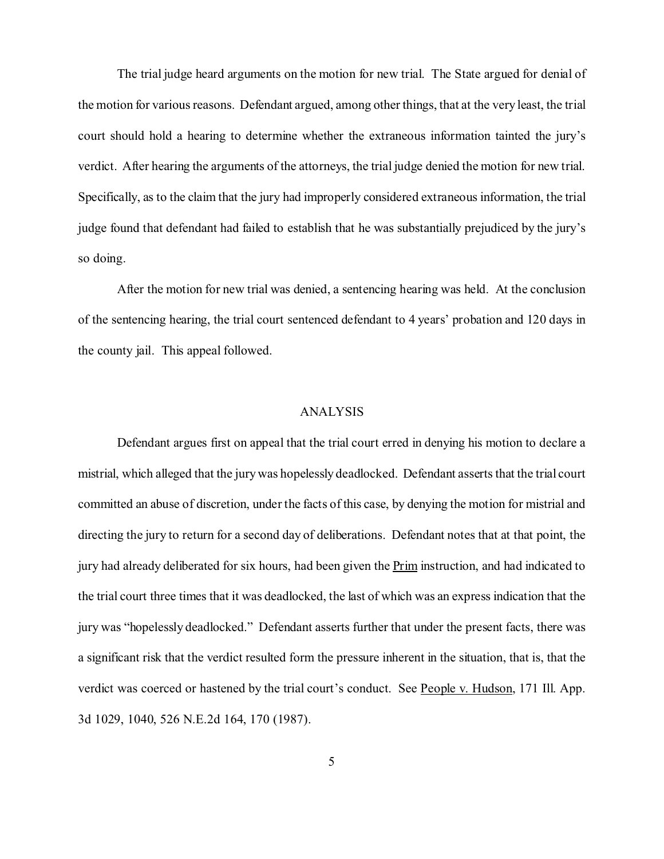The trial judge heard arguments on the motion for new trial. The State argued for denial of the motion for various reasons. Defendant argued, among other things, that at the very least, the trial court should hold a hearing to determine whether the extraneous information tainted the jury's verdict. After hearing the arguments of the attorneys, the trial judge denied the motion for new trial. Specifically, as to the claim that the jury had improperly considered extraneous information, the trial judge found that defendant had failed to establish that he was substantially prejudiced by the jury's so doing.

After the motion for new trial was denied, a sentencing hearing was held. At the conclusion of the sentencing hearing, the trial court sentenced defendant to 4 years' probation and 120 days in the county jail. This appeal followed.

## ANALYSIS

Defendant argues first on appeal that the trial court erred in denying his motion to declare a mistrial, which alleged that the jury was hopelessly deadlocked. Defendant asserts that the trial court committed an abuse of discretion, under the facts of this case, by denying the motion for mistrial and directing the jury to return for a second day of deliberations. Defendant notes that at that point, the jury had already deliberated for six hours, had been given the Prim instruction, and had indicated to the trial court three times that it was deadlocked, the last of which was an express indication that the jury was "hopelessly deadlocked." Defendant asserts further that under the present facts, there was a significant risk that the verdict resulted form the pressure inherent in the situation, that is, that the verdict was coerced or hastened by the trial court's conduct. See People v. Hudson, 171 Ill. App. 3d 1029, 1040, 526 N.E.2d 164, 170 (1987).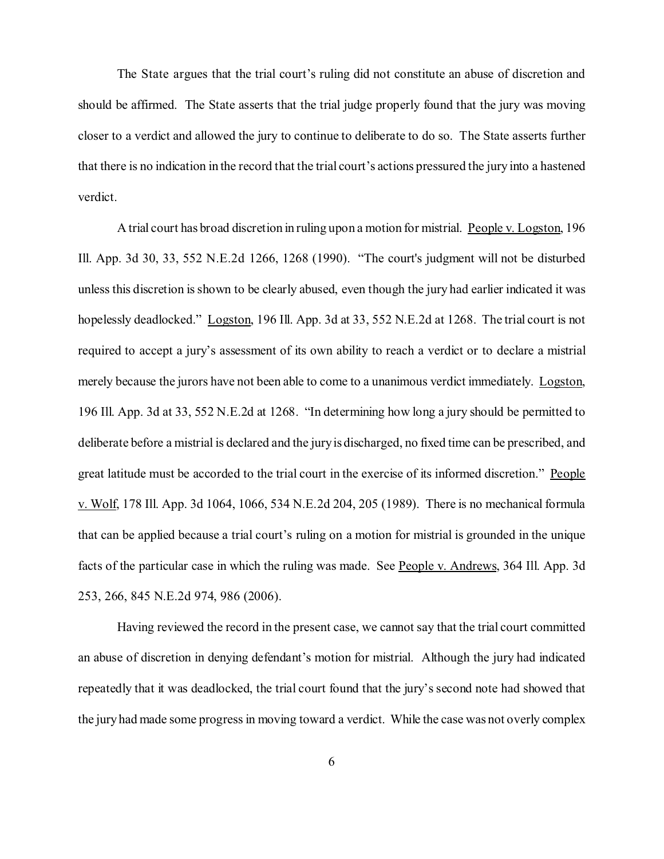The State argues that the trial court's ruling did not constitute an abuse of discretion and should be affirmed. The State asserts that the trial judge properly found that the jury was moving closer to a verdict and allowed the jury to continue to deliberate to do so. The State asserts further that there is no indication in the record that the trial court's actions pressured the jury into a hastened verdict.

A trial court has broad discretion in ruling upon a motion for mistrial. People v. Logston, 196 Ill. App. 3d 30, 33, 552 N.E.2d 1266, 1268 (1990). "The court's judgment will not be disturbed unless this discretion is shown to be clearly abused, even though the jury had earlier indicated it was hopelessly deadlocked." Logston, 196 Ill. App. 3d at 33, 552 N.E.2d at 1268. The trial court is not required to accept a jury's assessment of its own ability to reach a verdict or to declare a mistrial merely because the jurors have not been able to come to a unanimous verdict immediately. Logston, 196 Ill. App. 3d at 33, 552 N.E.2d at 1268. "In determining how long a jury should be permitted to deliberate before a mistrial is declared and the jury is discharged, no fixed time can be prescribed, and great latitude must be accorded to the trial court in the exercise of its informed discretion." People v. Wolf, 178 Ill. App. 3d 1064, 1066, 534 N.E.2d 204, 205 (1989). There is no mechanical formula that can be applied because a trial court's ruling on a motion for mistrial is grounded in the unique facts of the particular case in which the ruling was made. See People v. Andrews, 364 Ill. App. 3d 253, 266, 845 N.E.2d 974, 986 (2006).

Having reviewed the record in the present case, we cannot say that the trial court committed an abuse of discretion in denying defendant's motion for mistrial. Although the jury had indicated repeatedly that it was deadlocked, the trial court found that the jury's second note had showed that the jury had made some progress in moving toward a verdict. While the case was not overly complex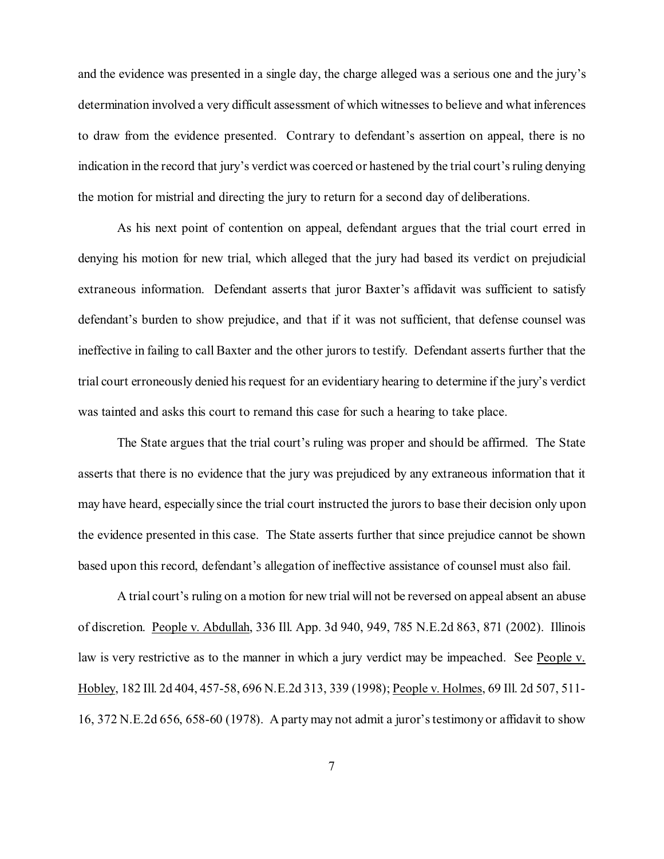and the evidence was presented in a single day, the charge alleged was a serious one and the jury's determination involved a very difficult assessment of which witnesses to believe and what inferences to draw from the evidence presented. Contrary to defendant's assertion on appeal, there is no indication in the record that jury's verdict was coerced or hastened by the trial court's ruling denying the motion for mistrial and directing the jury to return for a second day of deliberations.

As his next point of contention on appeal, defendant argues that the trial court erred in denying his motion for new trial, which alleged that the jury had based its verdict on prejudicial extraneous information. Defendant asserts that juror Baxter's affidavit was sufficient to satisfy defendant's burden to show prejudice, and that if it was not sufficient, that defense counsel was ineffective in failing to call Baxter and the other jurors to testify. Defendant asserts further that the trial court erroneously denied his request for an evidentiary hearing to determine if the jury's verdict was tainted and asks this court to remand this case for such a hearing to take place.

The State argues that the trial court's ruling was proper and should be affirmed. The State asserts that there is no evidence that the jury was prejudiced by any extraneous information that it may have heard, especially since the trial court instructed the jurors to base their decision only upon the evidence presented in this case. The State asserts further that since prejudice cannot be shown based upon this record, defendant's allegation of ineffective assistance of counsel must also fail.

A trial court's ruling on a motion for new trial will not be reversed on appeal absent an abuse of discretion. People v. Abdullah, 336 Ill. App. 3d 940, 949, 785 N.E.2d 863, 871 (2002). Illinois law is very restrictive as to the manner in which a jury verdict may be impeached. See People v. Hobley, 182 Ill. 2d 404, 457-58, 696 N.E.2d 313, 339 (1998); People v. Holmes, 69 Ill. 2d 507, 511- 16, 372 N.E.2d 656, 658-60 (1978). A party may not admit a juror's testimony or affidavit to show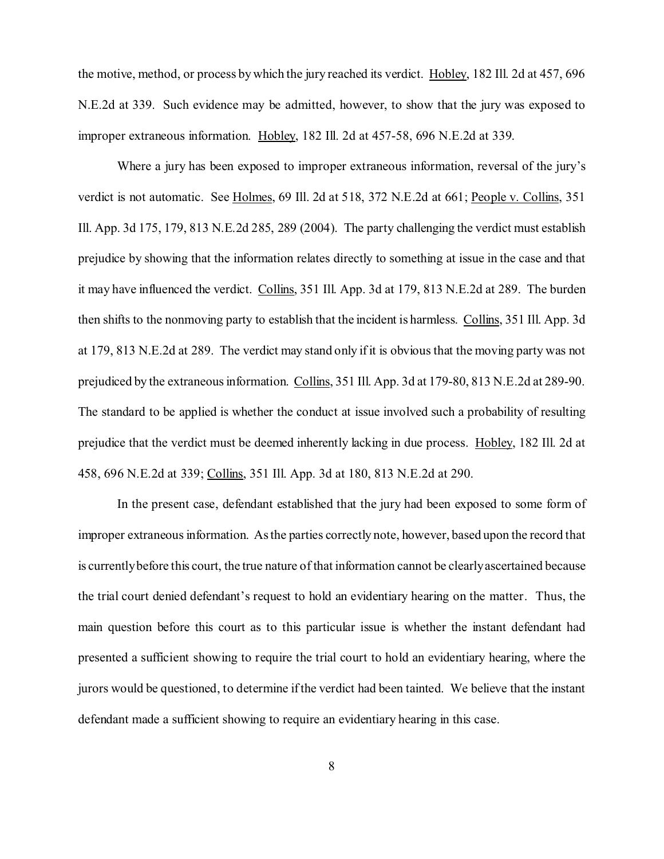the motive, method, or process by which the jury reached its verdict. Hobley, 182 Ill. 2d at 457, 696 N.E.2d at 339. Such evidence may be admitted, however, to show that the jury was exposed to improper extraneous information. Hobley, 182 Ill. 2d at 457-58, 696 N.E.2d at 339.

Where a jury has been exposed to improper extraneous information, reversal of the jury's verdict is not automatic. See Holmes, 69 Ill. 2d at 518, 372 N.E.2d at 661; People v. Collins, 351 Ill. App. 3d 175, 179, 813 N.E.2d 285, 289 (2004). The party challenging the verdict must establish prejudice by showing that the information relates directly to something at issue in the case and that it may have influenced the verdict. Collins, 351 Ill. App. 3d at 179, 813 N.E.2d at 289. The burden then shifts to the nonmoving party to establish that the incident is harmless. Collins, 351 Ill. App. 3d at 179, 813 N.E.2d at 289. The verdict may stand only if it is obvious that the moving party was not prejudiced by the extraneous information. Collins, 351 Ill. App. 3d at 179-80, 813 N.E.2d at 289-90. The standard to be applied is whether the conduct at issue involved such a probability of resulting prejudice that the verdict must be deemed inherently lacking in due process. Hobley, 182 Ill. 2d at 458, 696 N.E.2d at 339; Collins, 351 Ill. App. 3d at 180, 813 N.E.2d at 290.

In the present case, defendant established that the jury had been exposed to some form of improper extraneous information. As the parties correctly note, however, based upon the record that is currently before this court, the true nature of that information cannot be clearly ascertained because the trial court denied defendant's request to hold an evidentiary hearing on the matter. Thus, the main question before this court as to this particular issue is whether the instant defendant had presented a sufficient showing to require the trial court to hold an evidentiary hearing, where the jurors would be questioned, to determine if the verdict had been tainted. We believe that the instant defendant made a sufficient showing to require an evidentiary hearing in this case.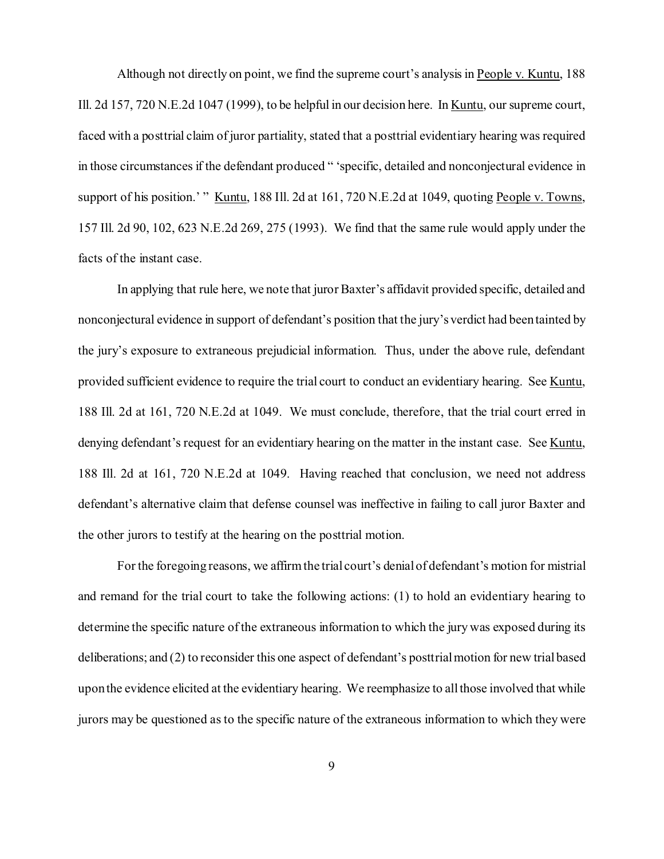Although not directly on point, we find the supreme court's analysis in People v. Kuntu, 188 Ill. 2d 157, 720 N.E.2d 1047 (1999), to be helpful in our decision here. In Kuntu, our supreme court, faced with a posttrial claim of juror partiality, stated that a posttrial evidentiary hearing was required in those circumstances if the defendant produced " 'specific, detailed and nonconjectural evidence in support of his position.' " Kuntu, 188 Ill. 2d at 161, 720 N.E.2d at 1049, quoting People v. Towns, 157 Ill. 2d 90, 102, 623 N.E.2d 269, 275 (1993). We find that the same rule would apply under the facts of the instant case.

In applying that rule here, we note that juror Baxter's affidavit provided specific, detailed and nonconjectural evidence in support of defendant's position that the jury's verdict had been tainted by the jury's exposure to extraneous prejudicial information. Thus, under the above rule, defendant provided sufficient evidence to require the trial court to conduct an evidentiary hearing. See Kuntu, 188 Ill. 2d at 161, 720 N.E.2d at 1049. We must conclude, therefore, that the trial court erred in denying defendant's request for an evidentiary hearing on the matter in the instant case. See Kuntu, 188 Ill. 2d at 161, 720 N.E.2d at 1049. Having reached that conclusion, we need not address defendant's alternative claim that defense counsel was ineffective in failing to call juror Baxter and the other jurors to testify at the hearing on the posttrial motion.

For the foregoing reasons, we affirm the trial court's denial of defendant's motion for mistrial and remand for the trial court to take the following actions: (1) to hold an evidentiary hearing to determine the specific nature of the extraneous information to which the jury was exposed during its deliberations; and (2) to reconsider this one aspect of defendant's posttrial motion for new trial based upon the evidence elicited at the evidentiary hearing. We reemphasize to all those involved that while jurors may be questioned as to the specific nature of the extraneous information to which they were